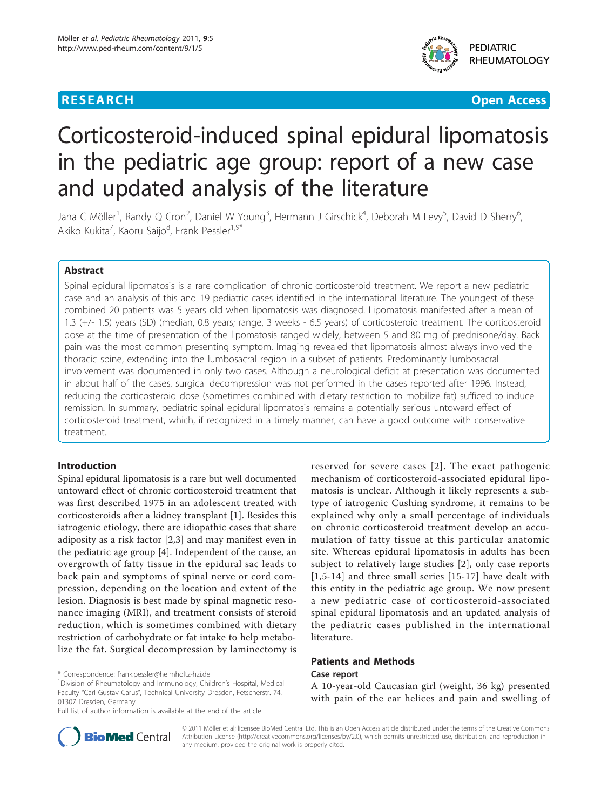

**RESEARCH CONTROL** CONTROL CONTROL CONTROL CONTROL CONTROL CONTROL CONTROL CONTROL CONTROL CONTROL CONTROL CONTROL

# Corticosteroid-induced spinal epidural lipomatosis in the pediatric age group: report of a new case and updated analysis of the literature

Jana C Möller<sup>1</sup>, Randy Q Cron<sup>2</sup>, Daniel W Young<sup>3</sup>, Hermann J Girschick<sup>4</sup>, Deborah M Levy<sup>5</sup>, David D Sherry<sup>6</sup> , Akiko Kukita<sup>7</sup>, Kaoru Saijo<sup>8</sup>, Frank Pessler<sup>1,9\*</sup>

# Abstract

Spinal epidural lipomatosis is a rare complication of chronic corticosteroid treatment. We report a new pediatric case and an analysis of this and 19 pediatric cases identified in the international literature. The youngest of these combined 20 patients was 5 years old when lipomatosis was diagnosed. Lipomatosis manifested after a mean of 1.3 (+/- 1.5) years (SD) (median, 0.8 years; range, 3 weeks - 6.5 years) of corticosteroid treatment. The corticosteroid dose at the time of presentation of the lipomatosis ranged widely, between 5 and 80 mg of prednisone/day. Back pain was the most common presenting symptom. Imaging revealed that lipomatosis almost always involved the thoracic spine, extending into the lumbosacral region in a subset of patients. Predominantly lumbosacral involvement was documented in only two cases. Although a neurological deficit at presentation was documented in about half of the cases, surgical decompression was not performed in the cases reported after 1996. Instead, reducing the corticosteroid dose (sometimes combined with dietary restriction to mobilize fat) sufficed to induce remission. In summary, pediatric spinal epidural lipomatosis remains a potentially serious untoward effect of corticosteroid treatment, which, if recognized in a timely manner, can have a good outcome with conservative treatment.

# Introduction

Spinal epidural lipomatosis is a rare but well documented untoward effect of chronic corticosteroid treatment that was first described 1975 in an adolescent treated with corticosteroids after a kidney transplant [[1\]](#page-4-0). Besides this iatrogenic etiology, there are idiopathic cases that share adiposity as a risk factor [[2,3](#page-4-0)] and may manifest even in the pediatric age group [\[4](#page-4-0)]. Independent of the cause, an overgrowth of fatty tissue in the epidural sac leads to back pain and symptoms of spinal nerve or cord compression, depending on the location and extent of the lesion. Diagnosis is best made by spinal magnetic resonance imaging (MRI), and treatment consists of steroid reduction, which is sometimes combined with dietary restriction of carbohydrate or fat intake to help metabolize the fat. Surgical decompression by laminectomy is

\* Correspondence: [frank.pessler@helmholtz-hzi.de](mailto:frank.pessler@helmholtz-hzi.de)

<sup>1</sup> Division of Rheumatology and Immunology, Children's Hospital, Medical Faculty "Carl Gustav Carus", Technical University Dresden, Fetscherstr. 74, 01307 Dresden, Germany

Full list of author information is available at the end of the article

reserved for severe cases [\[2\]](#page-4-0). The exact pathogenic mechanism of corticosteroid-associated epidural lipomatosis is unclear. Although it likely represents a subtype of iatrogenic Cushing syndrome, it remains to be explained why only a small percentage of individuals on chronic corticosteroid treatment develop an accumulation of fatty tissue at this particular anatomic site. Whereas epidural lipomatosis in adults has been subject to relatively large studies [[2\]](#page-4-0), only case reports [[1,5-](#page-4-0)[14\]](#page-5-0) and three small series [\[15](#page-5-0)-[17](#page-5-0)] have dealt with this entity in the pediatric age group. We now present a new pediatric case of corticosteroid-associated spinal epidural lipomatosis and an updated analysis of the pediatric cases published in the international literature.

# Patients and Methods

### Case report

A 10-year-old Caucasian girl (weight, 36 kg) presented with pain of the ear helices and pain and swelling of



© 2011 Möller et al; licensee BioMed Central Ltd. This is an Open Access article distributed under the terms of the Creative Commons Attribution License [\(http://creativecommons.org/licenses/by/2.0](http://creativecommons.org/licenses/by/2.0)), which permits unrestricted use, distribution, and reproduction in any medium, provided the original work is properly cited.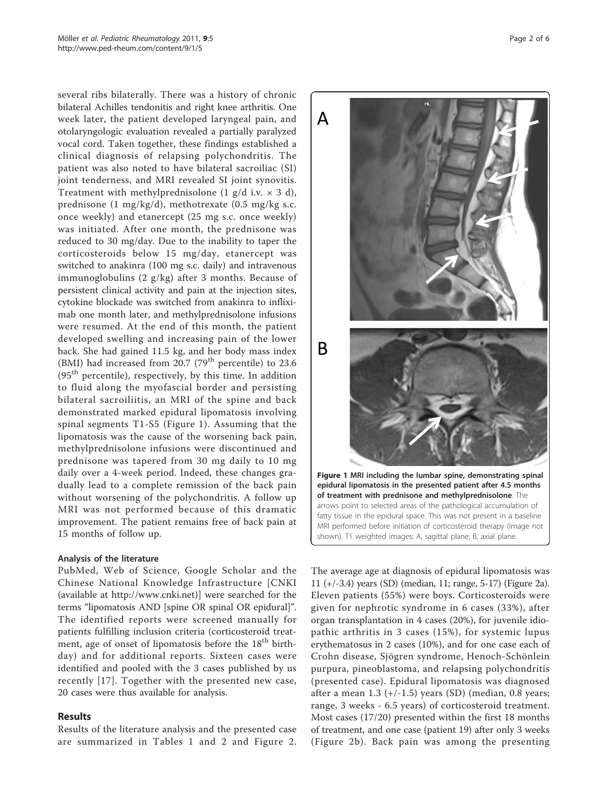several ribs bilaterally. There was a history of chronic bilateral Achilles tendonitis and right knee arthritis. One week later, the patient developed laryngeal pain, and otolaryngologic evaluation revealed a partially paralyzed vocal cord. Taken together, these findings established a clinical diagnosis of relapsing polychondritis. The patient was also noted to have bilateral sacroiliac (SI) joint tenderness, and MRI revealed SI joint synovitis. Treatment with methylprednisolone (1 g/d i.v.  $\times$  3 d), prednisone (1 mg/kg/d), methotrexate (0.5 mg/kg s.c. once weekly) and etanercept (25 mg s.c. once weekly) was initiated. After one month, the prednisone was reduced to 30 mg/day. Due to the inability to taper the corticosteroids below 15 mg/day, etanercept was switched to anakinra (100 mg s.c. daily) and intravenous immunoglobulins (2 g/kg) after 3 months. Because of persistent clinical activity and pain at the injection sites, cytokine blockade was switched from anakinra to infliximab one month later, and methylprednisolone infusions were resumed. At the end of this month, the patient developed swelling and increasing pain of the lower back. She had gained 11.5 kg, and her body mass index (BMI) had increased from 20.7 (79<sup>th</sup> percentile) to 23.6  $(95<sup>th</sup> percentile)$ , respectively, by this time. In addition to fluid along the myofascial border and persisting bilateral sacroiliitis, an MRI of the spine and back demonstrated marked epidural lipomatosis involving spinal segments T1-S5 (Figure 1). Assuming that the lipomatosis was the cause of the worsening back pain, methylprednisolone infusions were discontinued and prednisone was tapered from 30 mg daily to 10 mg daily over a 4-week period. Indeed, these changes gradually lead to a complete remission of the back pain without worsening of the polychondritis. A follow up MRI was not performed because of this dramatic improvement. The patient remains free of back pain at 15 months of follow up.

### Analysis of the literature

PubMed, Web of Science, Google Scholar and the Chinese National Knowledge Infrastructure [CNKI (available at [http://www.cnki.net\)](http://www.cnki.net)] were searched for the terms "lipomatosis AND [spine OR spinal OR epidural]". The identified reports were screened manually for patients fulfilling inclusion criteria (corticosteroid treatment, age of onset of lipomatosis before the 18<sup>th</sup> birthday) and for additional reports. Sixteen cases were identified and pooled with the 3 cases published by us recently [[17](#page-5-0)]. Together with the presented new case, 20 cases were thus available for analysis.

# Results

Results of the literature analysis and the presented case are summarized in Tables [1](#page-2-0) and [2](#page-3-0) and Figure [2](#page-4-0).



The average age at diagnosis of epidural lipomatosis was 11 (+/-3.4) years (SD) (median, 11; range, 5-17) (Figure [2a](#page-4-0)). Eleven patients (55%) were boys. Corticosteroids were given for nephrotic syndrome in 6 cases (33%), after organ transplantation in 4 cases (20%), for juvenile idiopathic arthritis in 3 cases (15%), for systemic lupus erythematosus in 2 cases (10%), and for one case each of Crohn disease, Sjögren syndrome, Henoch-Schönlein purpura, pineoblastoma, and relapsing polychondritis (presented case). Epidural lipomatosis was diagnosed after a mean  $1.3$  (+/-1.5) years (SD) (median, 0.8 years; range, 3 weeks - 6.5 years) of corticosteroid treatment. Most cases (17/20) presented within the first 18 months of treatment, and one case (patient 19) after only 3 weeks (Figure [2b](#page-4-0)). Back pain was among the presenting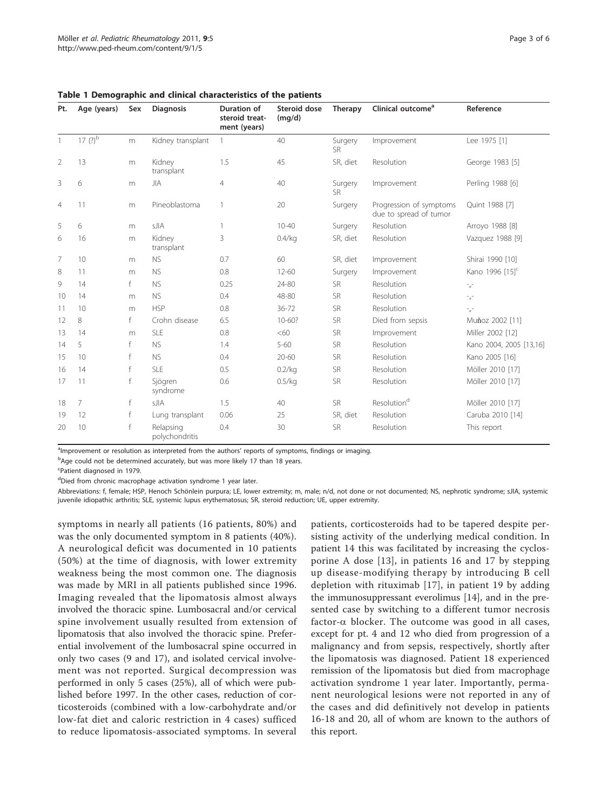| Pt.            | Age (years) | Sex | <b>Diagnosis</b>            | <b>Duration of</b><br>steroid treat-<br>ment (years) | <b>Steroid dose</b><br>(mq/d) | <b>Therapy</b>       | Clinical outcome <sup>a</sup>                     | Reference                   |
|----------------|-------------|-----|-----------------------------|------------------------------------------------------|-------------------------------|----------------------|---------------------------------------------------|-----------------------------|
|                | 17 $(?)^b$  | m   | Kidney transplant           | $\mathbf{1}$                                         | 40                            | Surgery<br><b>SR</b> | Improvement                                       | Lee 1975 [1]                |
| $\overline{2}$ | 13          | m   | Kidney<br>transplant        | 1.5                                                  | 45                            | SR, diet             | Resolution                                        | George 1983 [5]             |
| 3              | 6           | m   | <b>JIA</b>                  | $\overline{4}$                                       | 40                            | Surgery<br><b>SR</b> | Improvement                                       | Perling 1988 [6]            |
| $\overline{4}$ | 11          | m   | Pineoblastoma               | $\mathbf{1}$                                         | 20                            | Surgery              | Progression of symptoms<br>due to spread of tumor | Quint 1988 [7]              |
| 5              | 6           | m   | sJIA                        |                                                      | $10 - 40$                     | Surgery              | <b>Resolution</b>                                 | Arroyo 1988 [8]             |
| 6              | 16          | m   | Kidney<br>transplant        | 3                                                    | 0.4/kq                        | SR, diet             | Resolution                                        | Vazquez 1988 [9]            |
| 7              | 10          | m   | <b>NS</b>                   | 0.7                                                  | 60                            | SR, diet             | Improvement                                       | Shirai 1990 [10]            |
| 8              | 11          | m   | <b>NS</b>                   | 0.8                                                  | $12 - 60$                     | Surgery              | Improvement                                       | Kano 1996 [15] <sup>c</sup> |
| 9              | 14          | f   | <b>NS</b>                   | 0.25                                                 | 24-80                         | <b>SR</b>            | Resolution                                        | $-\frac{1}{n}$              |
| 10             | 14          | m   | <b>NS</b>                   | 0.4                                                  | 48-80                         | <b>SR</b>            | Resolution                                        | $\overline{a}$              |
| 11             | 10          | m   | <b>HSP</b>                  | 0.8                                                  | $36 - 72$                     | <b>SR</b>            | Resolution                                        | $\overline{a}$              |
| 12             | 8           | f   | Crohn disease               | 6.5                                                  | $10 - 60?$                    | <b>SR</b>            | Died from sepsis                                  | Muňoz 2002 [11]             |
| 13             | 14          | m   | <b>SLE</b>                  | 0.8                                                  | <60                           | <b>SR</b>            | Improvement                                       | Miller 2002 [12]            |
| 14             | 5           | f   | <b>NS</b>                   | 1.4                                                  | $5 - 60$                      | <b>SR</b>            | Resolution                                        | Kano 2004, 2005 [13,16]     |
| 15             | 10          | f   | <b>NS</b>                   | 0.4                                                  | $20 - 60$                     | <b>SR</b>            | Resolution                                        | Kano 2005 [16]              |
| 16             | 14          | f   | <b>SLE</b>                  | 0.5                                                  | 0.2/kq                        | <b>SR</b>            | Resolution                                        | Möller 2010 [17]            |
| 17             | 11          | f   | Sjögren<br>syndrome         | 0.6                                                  | 0.5/kq                        | <b>SR</b>            | Resolution                                        | Möller 2010 [17]            |
| 18             | 7           | f   | sJIA                        | 1.5                                                  | 40                            | <b>SR</b>            | Resolution <sup>d</sup>                           | Möller 2010 [17]            |
| 19             | 12          |     | Lung transplant             | 0.06                                                 | 25                            | SR, diet             | Resolution                                        | Caruba 2010 [14]            |
| 20             | 10          |     | Relapsing<br>polychondritis | 0.4                                                  | 30                            | <b>SR</b>            | Resolution                                        | This report                 |

<span id="page-2-0"></span>Table 1 Demographic and clinical characteristics of the patients

<sup>a</sup>lmprovement or resolution as interpreted from the authors' reports of symptoms, findings or imaging.

<sup>b</sup>Age could not be determined accurately, but was more likely 17 than 18 years.

<sup>c</sup>Patient diagnosed in 1979.

dDied from chronic macrophage activation syndrome 1 year later.

Abbreviations: f, female; HSP, Henoch Schönlein purpura; LE, lower extremity; m, male; n/d, not done or not documented; NS, nephrotic syndrome; sJIA, systemic juvenile idiopathic arthritis; SLE, systemic lupus erythematosus; SR, steroid reduction; UE, upper extremity.

symptoms in nearly all patients (16 patients, 80%) and was the only documented symptom in 8 patients (40%). A neurological deficit was documented in 10 patients (50%) at the time of diagnosis, with lower extremity weakness being the most common one. The diagnosis was made by MRI in all patients published since 1996. Imaging revealed that the lipomatosis almost always involved the thoracic spine. Lumbosacral and/or cervical spine involvement usually resulted from extension of lipomatosis that also involved the thoracic spine. Preferential involvement of the lumbosacral spine occurred in only two cases (9 and 17), and isolated cervical involvement was not reported. Surgical decompression was performed in only 5 cases (25%), all of which were published before 1997. In the other cases, reduction of corticosteroids (combined with a low-carbohydrate and/or low-fat diet and caloric restriction in 4 cases) sufficed to reduce lipomatosis-associated symptoms. In several

patients, corticosteroids had to be tapered despite persisting activity of the underlying medical condition. In patient 14 this was facilitated by increasing the cyclosporine A dose [[13](#page-5-0)], in patients 16 and 17 by stepping up disease-modifying therapy by introducing B cell depletion with rituximab [\[17\]](#page-5-0), in patient 19 by adding the immunosuppressant everolimus [[14](#page-5-0)], and in the presented case by switching to a different tumor necrosis factor- $\alpha$  blocker. The outcome was good in all cases, except for pt. 4 and 12 who died from progression of a malignancy and from sepsis, respectively, shortly after the lipomatosis was diagnosed. Patient 18 experienced remission of the lipomatosis but died from macrophage activation syndrome 1 year later. Importantly, permanent neurological lesions were not reported in any of the cases and did definitively not develop in patients 16-18 and 20, all of whom are known to the authors of this report.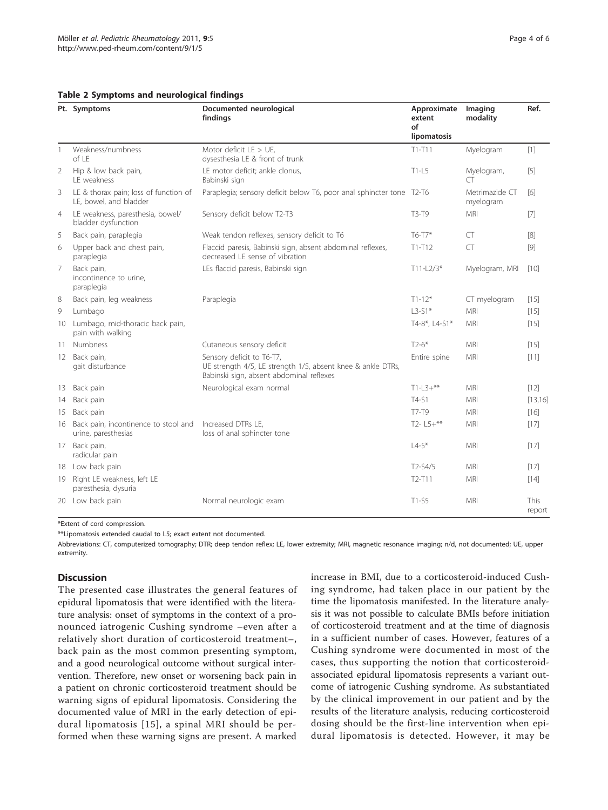<span id="page-3-0"></span>

|  |  |  | Table 2 Symptoms and neurological findings |  |
|--|--|--|--------------------------------------------|--|
|--|--|--|--------------------------------------------|--|

|                | Pt. Symptoms                                                    | Documented neurological<br>findings                                                                                                  | Approximate<br>extent<br>of<br>lipomatosis | Imaging<br>modality         | Ref.                  |
|----------------|-----------------------------------------------------------------|--------------------------------------------------------------------------------------------------------------------------------------|--------------------------------------------|-----------------------------|-----------------------|
| 1              | Weakness/numbness<br>of IF                                      | Motor deficit $LE > UE$ ,<br>dysesthesia LE & front of trunk                                                                         | $T1-T11$                                   | Myelogram                   | $[1]$                 |
| 2              | Hip & low back pain,<br>LE weakness                             | LE motor deficit; ankle clonus,<br>Babinski sign                                                                                     | $T1-L5$                                    | Myelogram,<br>$\subset$     | $[5]$                 |
| 3              | LE & thorax pain; loss of function of<br>LE, bowel, and bladder | Paraplegia; sensory deficit below T6, poor anal sphincter tone T2-T6                                                                 |                                            | Metrimazide CT<br>myelogram | [6]                   |
| $\overline{4}$ | LE weakness, paresthesia, bowel/<br>bladder dysfunction         | Sensory deficit below T2-T3                                                                                                          | T3-T9                                      | <b>MRI</b>                  | [7]                   |
| 5              | Back pain, paraplegia                                           | Weak tendon reflexes, sensory deficit to T6                                                                                          | $T6-T7*$                                   | $\subset$                   | [8]                   |
| 6              | Upper back and chest pain,<br>paraplegia                        | Flaccid paresis, Babinski sign, absent abdominal reflexes,<br>decreased LE sense of vibration                                        | $T1-T12$                                   | <b>CT</b>                   | $[9]$                 |
| 7              | Back pain,<br>incontinence to urine,<br>paraplegia              | LEs flaccid paresis, Babinski sign                                                                                                   | $T11-L2/3*$                                | Myelogram, MRI              | [10]                  |
| 8              | Back pain, leg weakness                                         | Paraplegia                                                                                                                           | $T1-12*$                                   | CT myelogram                | $[15]$                |
| 9              | Lumbago                                                         |                                                                                                                                      | $L3-S1*$                                   | <b>MRI</b>                  | $[15]$                |
| 10             | Lumbago, mid-thoracic back pain,<br>pain with walking           |                                                                                                                                      | T4-8*, L4-S1*                              | <b>MRI</b>                  | $[15]$                |
| 11             | <b>Numbness</b>                                                 | Cutaneous sensory deficit                                                                                                            | $T2-6*$                                    | <b>MRI</b>                  | $[15]$                |
| 12             | Back pain,<br>gait disturbance                                  | Sensory deficit to T6-T7,<br>UE strength 4/5, LE strength 1/5, absent knee & ankle DTRs,<br>Babinski sign, absent abdominal reflexes | Entire spine                               | <b>MRI</b>                  | [11]                  |
| 13             | Back pain                                                       | Neurological exam normal                                                                                                             | $T1-L3+***$                                | <b>MRI</b>                  | $[12]$                |
| 14             | Back pain                                                       |                                                                                                                                      | $T4-S1$                                    | <b>MRI</b>                  | [13, 16]              |
| 15             | Back pain                                                       |                                                                                                                                      | T7-T9                                      | <b>MRI</b>                  | $[16]$                |
| 16             | Back pain, incontinence to stool and<br>urine, paresthesias     | Increased DTRs LE.<br>loss of anal sphincter tone                                                                                    | $T2 - L5 +$ **                             | <b>MRI</b>                  | $[17]$                |
| 17             | Back pain,<br>radicular pain                                    |                                                                                                                                      | $L4 - 5*$                                  | <b>MRI</b>                  | $[17]$                |
|                | 18 Low back pain                                                |                                                                                                                                      | $T2-S4/5$                                  | <b>MRI</b>                  | $[17]$                |
| 19             | Right LE weakness, left LE<br>paresthesia, dysuria              |                                                                                                                                      | $T2-T11$                                   | <b>MRI</b>                  | [14]                  |
|                | 20 Low back pain                                                | Normal neurologic exam                                                                                                               | $T1-S5$                                    | <b>MRI</b>                  | <b>This</b><br>report |

\*Extent of cord compression.

\*\*Lipomatosis extended caudal to L5; exact extent not documented.

Abbreviations: CT, computerized tomography; DTR; deep tendon reflex; LE, lower extremity; MRI, magnetic resonance imaging; n/d, not documented; UE, upper extremity

### **Discussion**

The presented case illustrates the general features of epidural lipomatosis that were identified with the literature analysis: onset of symptoms in the context of a pronounced iatrogenic Cushing syndrome –even after a relatively short duration of corticosteroid treatment–, back pain as the most common presenting symptom, and a good neurological outcome without surgical intervention. Therefore, new onset or worsening back pain in a patient on chronic corticosteroid treatment should be warning signs of epidural lipomatosis. Considering the documented value of MRI in the early detection of epidural lipomatosis [[15\]](#page-5-0), a spinal MRI should be performed when these warning signs are present. A marked

increase in BMI, due to a corticosteroid-induced Cushing syndrome, had taken place in our patient by the time the lipomatosis manifested. In the literature analysis it was not possible to calculate BMIs before initiation of corticosteroid treatment and at the time of diagnosis in a sufficient number of cases. However, features of a Cushing syndrome were documented in most of the cases, thus supporting the notion that corticosteroidassociated epidural lipomatosis represents a variant outcome of iatrogenic Cushing syndrome. As substantiated by the clinical improvement in our patient and by the results of the literature analysis, reducing corticosteroid dosing should be the first-line intervention when epidural lipomatosis is detected. However, it may be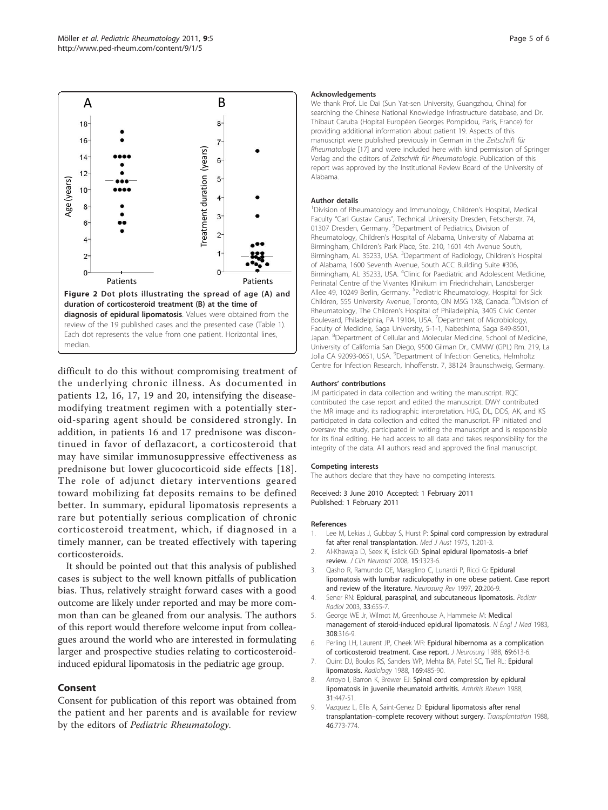<span id="page-4-0"></span>

difficult to do this without compromising treatment of the underlying chronic illness. As documented in patients 12, 16, 17, 19 and 20, intensifying the diseasemodifying treatment regimen with a potentially steroid-sparing agent should be considered strongly. In addition, in patients 16 and 17 prednisone was discontinued in favor of deflazacort, a corticosteroid that may have similar immunosuppressive effectiveness as prednisone but lower glucocorticoid side effects [[18](#page-5-0)]. The role of adjunct dietary interventions geared toward mobilizing fat deposits remains to be defined better. In summary, epidural lipomatosis represents a rare but potentially serious complication of chronic corticosteroid treatment, which, if diagnosed in a timely manner, can be treated effectively with tapering corticosteroids.

It should be pointed out that this analysis of published cases is subject to the well known pitfalls of publication bias. Thus, relatively straight forward cases with a good outcome are likely under reported and may be more common than can be gleaned from our analysis. The authors of this report would therefore welcome input from colleagues around the world who are interested in formulating larger and prospective studies relating to corticosteroidinduced epidural lipomatosis in the pediatric age group.

# Consent

Consent for publication of this report was obtained from the patient and her parents and is available for review by the editors of Pediatric Rheumatology.

#### Acknowledgements

We thank Prof. Lie Dai (Sun Yat-sen University, Guangzhou, China) for searching the Chinese National Knowledge Infrastructure database, and Dr. Thibaut Caruba (Hopital Européen Georges Pompidou, Paris, France) for providing additional information about patient 19. Aspects of this manuscript were published previously in German in the Zeitschrift für Rheumatologie [[17\]](#page-5-0) and were included here with kind permission of Springer Verlag and the editors of Zeitschrift für Rheumatologie. Publication of this report was approved by the Institutional Review Board of the University of Alabama.

#### Author details

<sup>1</sup> Division of Rheumatology and Immunology, Children's Hospital, Medical Faculty "Carl Gustav Carus", Technical University Dresden, Fetscherstr. 74, 01307 Dresden, Germany. <sup>2</sup>Department of Pediatrics, Division of Rheumatology, Children's Hospital of Alabama, University of Alabama at Birmingham, Children's Park Place, Ste. 210, 1601 4th Avenue South, Birmingham, AL 35233, USA. <sup>3</sup>Department of Radiology, Children's Hospital of Alabama, 1600 Seventh Avenue, South ACC Building Suite #306, Birmingham, AL 35233, USA. <sup>4</sup>Clinic for Paediatric and Adolescent Medicine, Perinatal Centre of the Vivantes Klinikum im Friedrichshain, Landsberger Allee 49, 10249 Berlin, Germany. <sup>5</sup>Pediatric Rheumatology, Hospital for Sick Children, 555 University Avenue, Toronto, ON M5G 1X8, Canada. <sup>6</sup>Division of Rheumatology, The Children's Hospital of Philadelphia, 3405 Civic Center Boulevard, Philadelphia, PA 19104, USA. <sup>7</sup> Department of Microbiology Faculty of Medicine, Saga University, 5-1-1, Nabeshima, Saga 849-8501, Japan. <sup>8</sup>Department of Cellular and Molecular Medicine, School of Medicine, University of California San Diego, 9500 Gilman Dr., CMMW (GPL) Rm. 219, La Jolla CA 92093-0651, USA. <sup>9</sup>Department of Infection Genetics, Helmholtz Centre for Infection Research, Inhoffenstr. 7, 38124 Braunschweig, Germany.

#### Authors' contributions

JM participated in data collection and writing the manuscript. RQC contributed the case report and edited the manuscript. DWY contributed the MR image and its radiographic interpretation. HJG, DL, DDS, AK, and KS participated in data collection and edited the manuscript. FP initiated and oversaw the study, participated in writing the manuscript and is responsible for its final editing. He had access to all data and takes responsibility for the integrity of the data. All authors read and approved the final manuscript.

#### Competing interests

The authors declare that they have no competing interests.

Received: 3 June 2010 Accepted: 1 February 2011 Published: 1 February 2011

#### References

- Lee M, Lekias J, Gubbay S, Hurst P: [Spinal cord compression by extradural](http://www.ncbi.nlm.nih.gov/pubmed/1092979?dopt=Abstract) [fat after renal transplantation.](http://www.ncbi.nlm.nih.gov/pubmed/1092979?dopt=Abstract) Med J Aust 1975, 1:201-3.
- 2. Al-Khawaja D, Seex K, Eslick GD: [Spinal epidural lipomatosis](http://www.ncbi.nlm.nih.gov/pubmed/18954986?dopt=Abstract)-a brief [review.](http://www.ncbi.nlm.nih.gov/pubmed/18954986?dopt=Abstract) J Clin Neurosci 2008, 15:1323-6.
- 3. Qasho R, Ramundo OE, Maraglino C, Lunardi P, Ricci G: [Epidural](http://www.ncbi.nlm.nih.gov/pubmed/9297724?dopt=Abstract) [lipomatosis with lumbar radiculopathy in one obese patient. Case report](http://www.ncbi.nlm.nih.gov/pubmed/9297724?dopt=Abstract) [and review of the literature.](http://www.ncbi.nlm.nih.gov/pubmed/9297724?dopt=Abstract) Neurosurg Rev 1997, 20:206-9.
- 4. Sener RN: [Epidural, paraspinal, and subcutaneous lipomatosis.](http://www.ncbi.nlm.nih.gov/pubmed/12851798?dopt=Abstract) Pediatr Radiol 2003, 33:655-7.
- 5. George WE Jr, Wilmot M, Greenhouse A, Hammeke M: [Medical](http://www.ncbi.nlm.nih.gov/pubmed/6337324?dopt=Abstract) [management of steroid-induced epidural lipomatosis.](http://www.ncbi.nlm.nih.gov/pubmed/6337324?dopt=Abstract) N Engl J Med 1983, 308:316-9.
- 6. Perling LH, Laurent JP, Cheek WR: [Epidural hibernoma as a complication](http://www.ncbi.nlm.nih.gov/pubmed/3047343?dopt=Abstract) [of corticosteroid treatment. Case report.](http://www.ncbi.nlm.nih.gov/pubmed/3047343?dopt=Abstract) J Neurosurg 1988, 69:613-6.
- 7. Quint DJ, Boulos RS, Sanders WP, Mehta BA, Patel SC, Tiel RL: [Epidural](http://www.ncbi.nlm.nih.gov/pubmed/3174998?dopt=Abstract) [lipomatosis.](http://www.ncbi.nlm.nih.gov/pubmed/3174998?dopt=Abstract) Radiology 1988, 169:485-90.
- 8. Arroyo I, Barron K, Brewer EJ: [Spinal cord compression by epidural](http://www.ncbi.nlm.nih.gov/pubmed/3358807?dopt=Abstract) [lipomatosis in juvenile rheumatoid arthritis.](http://www.ncbi.nlm.nih.gov/pubmed/3358807?dopt=Abstract) Arthritis Rheum 1988, 31:447-51.
- 9. Vazquez L, Ellis A, Saint-Genez D: [Epidural lipomatosis after renal](http://www.ncbi.nlm.nih.gov/pubmed/3057699?dopt=Abstract) transplantation–[complete recovery without surgery.](http://www.ncbi.nlm.nih.gov/pubmed/3057699?dopt=Abstract) Transplantation 1988, 46:773-774.